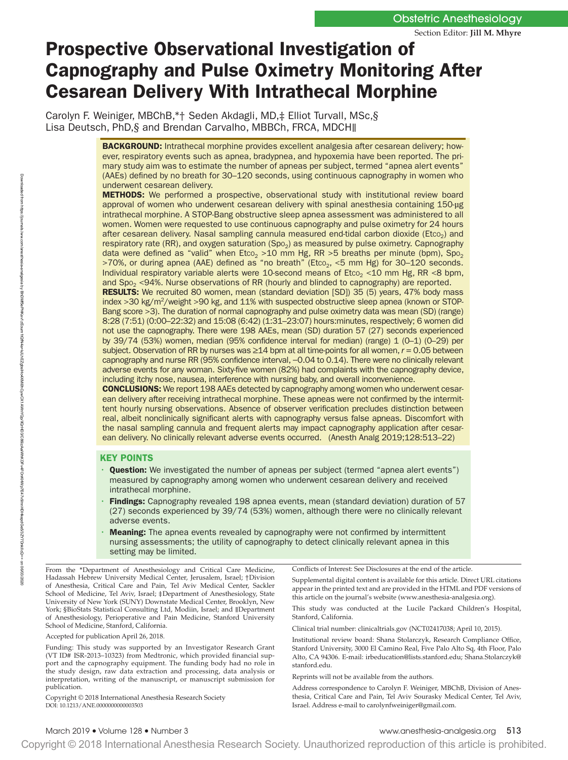# Prospective Observational Investigation of Capnography and Pulse Oximetry Monitoring After Cesarean Delivery With Intrathecal Morphine

Carolyn F. Weiniger, MBChB,\*† Seden Akdagli, MD,‡ Elliot Turvall, MSc,§ Lisa Deutsch, PhD,§ and Brendan Carvalho, MBBCh, FRCA, MDCH∥

> BACKGROUND: Intrathecal morphine provides excellent analgesia after cesarean delivery; however, respiratory events such as apnea, bradypnea, and hypoxemia have been reported. The primary study aim was to estimate the number of apneas per subject, termed "apnea alert events" (AAEs) defined by no breath for 30–120 seconds, using continuous capnography in women who underwent cesarean delivery.

> **METHODS:** We performed a prospective, observational study with institutional review board approval of women who underwent cesarean delivery with spinal anesthesia containing 150-µg intrathecal morphine. A STOP-Bang obstructive sleep apnea assessment was administered to all women. Women were requested to use continuous capnography and pulse oximetry for 24 hours after cesarean delivery. Nasal sampling cannula measured end-tidal carbon dioxide ( $Etco<sub>2</sub>$ ) and respiratory rate (RR), and oxygen saturation (Spo<sub>2</sub>) as measured by pulse oximetry. Capnography data were defined as "valid" when  $E_{\text{CO}_2}$  >10 mm Hg, RR >5 breaths per minute (bpm), Spo<sub>2</sub>  $>70$ %, or during apnea (AAE) defined as "no breath" (Etco<sub>2</sub>, <5 mm Hg) for 30-120 seconds. Individual respiratory variable alerts were 10-second means of  $E_{\text{t}}$  = 10 mm Hg, RR <8 bpm, and  $Spo<sub>2</sub> < 94%$ . Nurse observations of RR (hourly and blinded to capnography) are reported.

> RESULTS: We recruited 80 women, mean (standard deviation [SD]) 35 (5) years, 47% body mass index >30 kg/m<sup>2</sup>/weight >90 kg, and 11% with suspected obstructive sleep apnea (known or STOP-Bang score >3). The duration of normal capnography and pulse oximetry data was mean (SD) (range) 8:28 (7:51) (0:00–22:32) and 15:08 (6:42) (1:31–23:07) hours:minutes, respectively; 6 women did not use the capnography. There were 198 AAEs, mean (SD) duration 57 (27) seconds experienced by 39/74 (53%) women, median (95% confidence interval for median) (range) 1 (0–1) (0–29) per subject. Observation of RR by nurses was  $\geq 14$  bpm at all time-points for all women,  $r = 0.05$  between capnography and nurse RR (95% confidence interval, −0.04 to 0.14). There were no clinically relevant adverse events for any woman. Sixty-five women (82%) had complaints with the capnography device, including itchy nose, nausea, interference with nursing baby, and overall inconvenience.

> CONCLUSIONS: We report 198 AAEs detected by capnography among women who underwent cesarean delivery after receiving intrathecal morphine. These apneas were not confirmed by the intermittent hourly nursing observations. Absence of observer verification precludes distinction between real, albeit nonclinically significant alerts with capnography versus false apneas. Discomfort with the nasal sampling cannula and frequent alerts may impact capnography application after cesarean delivery. No clinically relevant adverse events occurred. (Anesth Analg 2019;128:513–22)

## KEY POINTS

- **Question:** We investigated the number of apneas per subject (termed "apnea alert events") measured by capnography among women who underwent cesarean delivery and received intrathecal morphine.
- Findings: Capnography revealed 198 apnea events, mean (standard deviation) duration of 57 (27) seconds experienced by 39/74 (53%) women, although there were no clinically relevant adverse events.
- **Meaning:** The apnea events revealed by capnography were not confirmed by intermittent nursing assessments; the utility of capnography to detect clinically relevant apnea in this setting may be limited.

From the \*Department of Anesthesiology and Critical Care Medicine, Hadassah Hebrew University Medical Center, Jerusalem, Israel; †Division of Anesthesia, Critical Care and Pain, Tel Aviv Medical Center, Sackler School of Medicine, Tel Aviv, Israel; ‡Department of Anesthesiology, State University of New York (SUNY) Downstate Medical Center, Brooklyn, New York; §BioStats Statistical Consulting Ltd, Modiin, Israel; and ∥Department of Anesthesiology, Perioperative and Pain Medicine, Stanford University School of Medicine, Stanford, California.

Accepted for publication April 26, 2018.

Funding: This study was supported by an Investigator Research Grant (VT ID# ISR-2013–10323) from Medtronic, which provided financial support and the capnography equipment. The funding body had no role in the study design, raw data extraction and processing, data analysis or interpretation, writing of the manuscript, or manuscript submission for publication.

DOI: 10.1213/ANE.0000000000003503 Copyright © 2018 International Anesthesia Research Society Conflicts of Interest: See Disclosures at the end of the article.

Supplemental digital content is available for this article. Direct URL citations appear in the printed text and are provided in the HTML and PDF versions of this article on the journal's website ([www.anesthesia-analgesia.org\)](httP://www.anesthesia-analgesia.org).

This study was conducted at the Lucile Packard Children's Hospital, Stanford, California.

Clinical trial number: clinicaltrials.gov (NCT02417038; April 10, 2015).

Institutional review board: Shana Stolarczyk, Research Compliance Office, Stanford University, 3000 El Camino Real, Five Palo Alto Sq, 4th Floor, Palo Alto, CA 94306. E-mail: [irbeducation@lists.stanford.edu;](mailto:irbeducation@lists.stanford.edu) [Shana.Stolarczyk@](mailto:Shana.Stolarczyk@stanford.edu) [stanford.edu](mailto:Shana.Stolarczyk@stanford.edu).

Reprints will not be available from the authors.

Address correspondence to Carolyn F. Weiniger, MBChB, Division of Anesthesia, Critical Care and Pain, Tel Aviv Sourasky Medical Center, Tel Aviv, Israel. Address e-mail to [carolynfweiniger@gmail.com](mailto:carolynfweiniger@gmail.com).

March 2019 • Volume 128 • Number 3 www.anesthesia-analgesia.org 513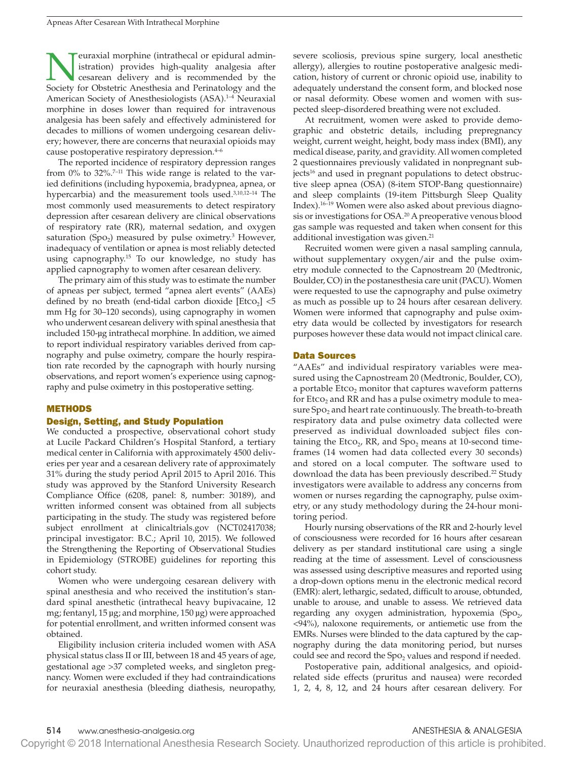**Neuraxial morphine (intrathecal or epidural administration)** provides high-quality analgesia after cesarean delivery and is recommended by the Society for Obstetric Anesthesia and Perinatology and the istration) provides high-quality analgesia after Society for Obstetric Anesthesia and Perinatology and the American Society of Anesthesiologists (ASA).<sup>1-4</sup> Neuraxial morphine in doses lower than required for intravenous analgesia has been safely and effectively administered for decades to millions of women undergoing cesarean delivery; however, there are concerns that neuraxial opioids may cause postoperative respiratory depression.4–6

The reported incidence of respiratory depression ranges from  $0\%$  to 32%.<sup>7-11</sup> This wide range is related to the varied definitions (including hypoxemia, bradypnea, apnea, or hypercarbia) and the measurement tools used.<sup>3,10,12-14</sup> The most commonly used measurements to detect respiratory depression after cesarean delivery are clinical observations of respiratory rate (RR), maternal sedation, and oxygen saturation (Spo<sub>2</sub>) measured by pulse oximetry.<sup>3</sup> However, inadequacy of ventilation or apnea is most reliably detected using capnography.15 To our knowledge, no study has applied capnography to women after cesarean delivery.

The primary aim of this study was to estimate the number of apneas per subject, termed "apnea alert events" (AAEs) defined by no breath (end-tidal carbon dioxide  $[Etco<sub>2</sub>] < 5$ mm Hg for 30–120 seconds), using capnography in women who underwent cesarean delivery with spinal anesthesia that included 150-µg intrathecal morphine. In addition, we aimed to report individual respiratory variables derived from capnography and pulse oximetry, compare the hourly respiration rate recorded by the capnograph with hourly nursing observations, and report women's experience using capnography and pulse oximetry in this postoperative setting.

## METHODS

## Design, Setting, and Study Population

We conducted a prospective, observational cohort study at Lucile Packard Children's Hospital Stanford, a tertiary medical center in California with approximately 4500 deliveries per year and a cesarean delivery rate of approximately 31% during the study period April 2015 to April 2016. This study was approved by the Stanford University Research Compliance Office (6208, panel: 8, number: 30189), and written informed consent was obtained from all subjects participating in the study. The study was registered before subject enrollment at clinicaltrials.gov (NCT02417038; principal investigator: B.C.; April 10, 2015). We followed the Strengthening the Reporting of Observational Studies in Epidemiology (STROBE) guidelines for reporting this cohort study.

Women who were undergoing cesarean delivery with spinal anesthesia and who received the institution's standard spinal anesthetic (intrathecal heavy bupivacaine, 12 mg; fentanyl, 15 µg; and morphine, 150 µg) were approached for potential enrollment, and written informed consent was obtained.

Eligibility inclusion criteria included women with ASA physical status class II or III, between 18 and 45 years of age, gestational age >37 completed weeks, and singleton pregnancy. Women were excluded if they had contraindications for neuraxial anesthesia (bleeding diathesis, neuropathy, severe scoliosis, previous spine surgery, local anesthetic allergy), allergies to routine postoperative analgesic medication, history of current or chronic opioid use, inability to adequately understand the consent form, and blocked nose or nasal deformity. Obese women and women with suspected sleep-disordered breathing were not excluded.

At recruitment, women were asked to provide demographic and obstetric details, including prepregnancy weight, current weight, height, body mass index (BMI), any medical disease, parity, and gravidity. All women completed 2 questionnaires previously validated in nonpregnant subjects<sup>16</sup> and used in pregnant populations to detect obstructive sleep apnea (OSA) (8-item STOP-Bang questionnaire) and sleep complaints (19-item Pittsburgh Sleep Quality Index).16–19 Women were also asked about previous diagnosis or investigations for OSA.<sup>20</sup> A preoperative venous blood gas sample was requested and taken when consent for this additional investigation was given.<sup>21</sup>

Recruited women were given a nasal sampling cannula, without supplementary oxygen/air and the pulse oximetry module connected to the Capnostream 20 (Medtronic, Boulder, CO) in the postanesthesia care unit (PACU). Women were requested to use the capnography and pulse oximetry as much as possible up to 24 hours after cesarean delivery. Women were informed that capnography and pulse oximetry data would be collected by investigators for research purposes however these data would not impact clinical care.

## Data Sources

"AAEs" and individual respiratory variables were measured using the Capnostream 20 (Medtronic, Boulder, CO), a portable  $Etco<sub>2</sub>$  monitor that captures waveform patterns for Etco<sub>2</sub> and RR and has a pulse oximetry module to measure Spo<sub>2</sub> and heart rate continuously. The breath-to-breath respiratory data and pulse oximetry data collected were preserved as individual downloaded subject files containing the Etco<sub>2</sub>, RR, and Spo<sub>2</sub> means at 10-second timeframes (14 women had data collected every 30 seconds) and stored on a local computer. The software used to download the data has been previously described.<sup>22</sup> Study investigators were available to address any concerns from women or nurses regarding the capnography, pulse oximetry, or any study methodology during the 24-hour monitoring period.

Hourly nursing observations of the RR and 2-hourly level of consciousness were recorded for 16 hours after cesarean delivery as per standard institutional care using a single reading at the time of assessment. Level of consciousness was assessed using descriptive measures and reported using a drop-down options menu in the electronic medical record (EMR): alert, lethargic, sedated, difficult to arouse, obtunded, unable to arouse, and unable to assess. We retrieved data regarding any oxygen administration, hypoxemia (Spo<sub>2</sub>, <94%), naloxone requirements, or antiemetic use from the EMRs. Nurses were blinded to the data captured by the capnography during the data monitoring period, but nurses could see and record the Spo<sub>2</sub> values and respond if needed.

Postoperative pain, additional analgesics, and opioidrelated side effects (pruritus and nausea) were recorded 1, 2, 4, 8, 12, and 24 hours after cesarean delivery. For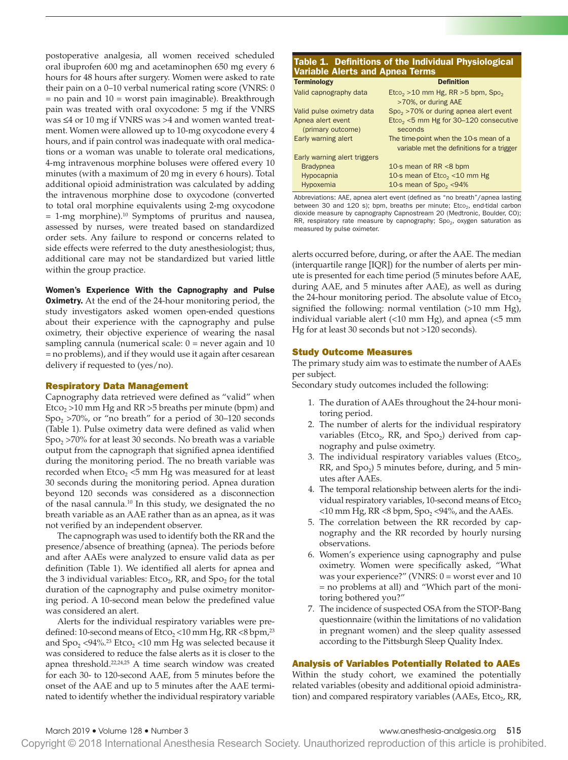postoperative analgesia, all women received scheduled oral ibuprofen 600 mg and acetaminophen 650 mg every 6 hours for 48 hours after surgery. Women were asked to rate their pain on a 0–10 verbal numerical rating score (VNRS: 0  $=$  no pain and  $10 =$  worst pain imaginable). Breakthrough pain was treated with oral oxycodone: 5 mg if the VNRS was ≤4 or 10 mg if VNRS was >4 and women wanted treatment. Women were allowed up to 10-mg oxycodone every 4 hours, and if pain control was inadequate with oral medications or a woman was unable to tolerate oral medications, 4-mg intravenous morphine boluses were offered every 10 minutes (with a maximum of 20 mg in every 6 hours). Total additional opioid administration was calculated by adding the intravenous morphine dose to oxycodone (converted to total oral morphine equivalents using 2-mg oxycodone  $= 1$ -mg morphine).<sup>10</sup> Symptoms of pruritus and nausea, assessed by nurses, were treated based on standardized order sets. Any failure to respond or concerns related to side effects were referred to the duty anesthesiologist; thus, additional care may not be standardized but varied little within the group practice.

Women's Experience With the Capnography and Pulse **Oximetry.** At the end of the 24-hour monitoring period, the study investigators asked women open-ended questions about their experience with the capnography and pulse oximetry, their objective experience of wearing the nasal sampling cannula (numerical scale:  $0 =$  never again and 10 = no problems), and if they would use it again after cesarean delivery if requested to (yes/no).

## Respiratory Data Management

Capnography data retrieved were defined as "valid" when Etco<sub>2</sub> >10 mm Hg and RR >5 breaths per minute (bpm) and Spo2 >70%, or "no breath" for a period of 30–120 seconds (Table 1). Pulse oximetry data were defined as valid when  $Spo<sub>2</sub> > 70%$  for at least 30 seconds. No breath was a variable output from the capnograph that signified apnea identified during the monitoring period. The no breath variable was recorded when  $E_{1}$   $<$   $5$  mm Hg was measured for at least 30 seconds during the monitoring period. Apnea duration beyond 120 seconds was considered as a disconnection of the nasal cannula.10 In this study, we designated the no breath variable as an AAE rather than as an apnea, as it was not verified by an independent observer.

The capnograph was used to identify both the RR and the presence/absence of breathing (apnea). The periods before and after AAEs were analyzed to ensure valid data as per definition (Table 1). We identified all alerts for apnea and the 3 individual variables:  $E_{\text{tCO}_2}$ , RR, and  $\text{Spo}_2$  for the total duration of the capnography and pulse oximetry monitoring period. A 10-second mean below the predefined value was considered an alert.

Alerts for the individual respiratory variables were predefined: 10-second means of  $E_{\text{tco}_2}$  < 10 mm Hg, RR <8 bpm,<sup>23</sup> and  $Spo_2$  <94%.<sup>23</sup> Etco<sub>2</sub> <10 mm Hg was selected because it was considered to reduce the false alerts as it is closer to the apnea threshold.22,24,25 A time search window was created for each 30- to 120-second AAE, from 5 minutes before the onset of the AAE and up to 5 minutes after the AAE terminated to identify whether the individual respiratory variable

| Table 1. Definitions of the Individual Physiological<br><b>Variable Alerts and Apnea Terms</b> |                                                               |  |  |  |  |  |  |
|------------------------------------------------------------------------------------------------|---------------------------------------------------------------|--|--|--|--|--|--|
| <b>Terminology</b>                                                                             | <b>Definition</b>                                             |  |  |  |  |  |  |
| Valid capnography data                                                                         | $E$ tco <sub>2</sub> > 10 mm Hg, RR > 5 bpm, Spo <sub>2</sub> |  |  |  |  |  |  |
|                                                                                                | >70%, or during AAE                                           |  |  |  |  |  |  |
| Valid pulse oximetry data                                                                      | $Spo2 > 70%$ or during apnea alert event                      |  |  |  |  |  |  |
| Apnea alert event                                                                              | $Eto2$ <5 mm Hg for 30-120 consecutive                        |  |  |  |  |  |  |
| (primary outcome)                                                                              | seconds                                                       |  |  |  |  |  |  |
| Early warning alert                                                                            | The time-point when the 10-s mean of a                        |  |  |  |  |  |  |
|                                                                                                | variable met the definitions for a trigger                    |  |  |  |  |  |  |
| Early warning alert triggers                                                                   |                                                               |  |  |  |  |  |  |
| <b>Bradypnea</b>                                                                               | 10-s mean of RR <8 bpm                                        |  |  |  |  |  |  |
| Hypocapnia                                                                                     | 10-s mean of $E_{\text{CO}_2}$ < 10 mm Hg                     |  |  |  |  |  |  |

Abbreviations: AAE, apnea alert event (defined as "no breath"/apnea lasting between 30 and 120 s); bpm, breaths per minute;  $Eto<sub>2</sub>$ , end-tidal carbon dioxide measure by capnography Capnostream 20 (Medtronic, Boulder, CO); RR, respiratory rate measure by capnography;  $Spo<sub>2</sub>$ , oxygen saturation as measured by pulse oximeter.

Hypoxemia  $10\text{-s}$  mean of Spo<sub>2</sub> <94%

alerts occurred before, during, or after the AAE. The median (interquartile range [IQR]) for the number of alerts per minute is presented for each time period (5 minutes before AAE, during AAE, and 5 minutes after AAE), as well as during the 24-hour monitoring period. The absolute value of  $E_{1}$ signified the following: normal ventilation (>10 mm Hg), individual variable alert (<10 mm Hg), and apnea (<5 mm Hg for at least 30 seconds but not >120 seconds).

## Study Outcome Measures

The primary study aim was to estimate the number of AAEs per subject.

Secondary study outcomes included the following:

- 1. The duration of AAEs throughout the 24-hour monitoring period.
- 2. The number of alerts for the individual respiratory variables (Etco<sub>2</sub>, RR, and Spo<sub>2</sub>) derived from capnography and pulse oximetry.
- 3. The individual respiratory variables values (Etco<sub>2</sub>,  $RR$ , and  $Spo<sub>2</sub>$ ) 5 minutes before, during, and 5 minutes after AAEs.
- 4. The temporal relationship between alerts for the individual respiratory variables,  $10$ -second means of Etco<sub>2</sub>  $<$ 10 mm Hg, RR  $<$ 8 bpm, Spo<sub>2</sub>  $<$ 94%, and the AAEs.
- 5. The correlation between the RR recorded by capnography and the RR recorded by hourly nursing observations.
- 6. Women's experience using capnography and pulse oximetry. Women were specifically asked, "What was your experience?" (VNRS:  $0 =$  worst ever and 10 = no problems at all) and "Which part of the monitoring bothered you?"
- 7. The incidence of suspected OSA from the STOP-Bang questionnaire (within the limitations of no validation in pregnant women) and the sleep quality assessed according to the Pittsburgh Sleep Quality Index.

## Analysis of Variables Potentially Related to AAEs

Within the study cohort, we examined the potentially related variables (obesity and additional opioid administration) and compared respiratory variables (AAEs, Etco<sub>2</sub>, RR,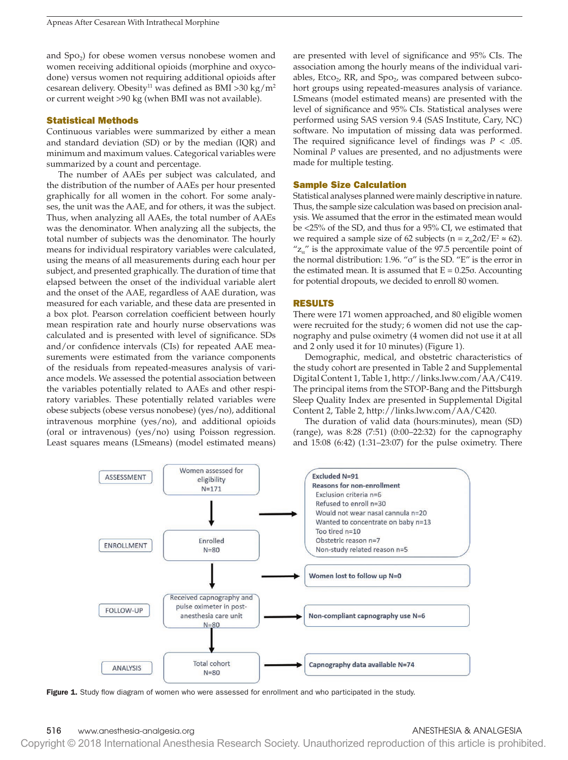and  $Spo<sub>2</sub>$ ) for obese women versus nonobese women and women receiving additional opioids (morphine and oxycodone) versus women not requiring additional opioids after cesarean delivery. Obesity<sup>11</sup> was defined as BMI >30 kg/m<sup>2</sup> or current weight >90 kg (when BMI was not available).

## Statistical Methods

Continuous variables were summarized by either a mean and standard deviation (SD) or by the median (IQR) and minimum and maximum values. Categorical variables were summarized by a count and percentage.

The number of AAEs per subject was calculated, and the distribution of the number of AAEs per hour presented graphically for all women in the cohort. For some analyses, the unit was the AAE, and for others, it was the subject. Thus, when analyzing all AAEs, the total number of AAEs was the denominator. When analyzing all the subjects, the total number of subjects was the denominator. The hourly means for individual respiratory variables were calculated, using the means of all measurements during each hour per subject, and presented graphically. The duration of time that elapsed between the onset of the individual variable alert and the onset of the AAE, regardless of AAE duration, was measured for each variable, and these data are presented in a box plot. Pearson correlation coefficient between hourly mean respiration rate and hourly nurse observations was calculated and is presented with level of significance. SDs and/or confidence intervals (CIs) for repeated AAE measurements were estimated from the variance components of the residuals from repeated-measures analysis of variance models. We assessed the potential association between the variables potentially related to AAEs and other respiratory variables. These potentially related variables were obese subjects (obese versus nonobese) (yes/no), additional intravenous morphine (yes/no), and additional opioids (oral or intravenous) (yes/no) using Poisson regression. Least squares means (LSmeans) (model estimated means)

are presented with level of significance and 95% CIs. The association among the hourly means of the individual variables, Etco<sub>2</sub>, RR, and Spo<sub>2</sub>, was compared between subcohort groups using repeated-measures analysis of variance. LSmeans (model estimated means) are presented with the level of significance and 95% CIs. Statistical analyses were performed using SAS version 9.4 (SAS Institute, Cary, NC) software. No imputation of missing data was performed. The required significance level of findings was  $P < .05$ . Nominal *P* values are presented, and no adjustments were made for multiple testing.

## Sample Size Calculation

Statistical analyses planned were mainly descriptive in nature. Thus, the sample size calculation was based on precision analysis. We assumed that the error in the estimated mean would be <25% of the SD, and thus for a 95% CI, we estimated that we required a sample size of 62 subjects ( $n = z<sub>\alpha</sub> 2\sigma 2/E^2 \approx 62$ ).  $"z''_a"$  is the approximate value of the 97.5 percentile point of the normal distribution: 1.96. "σ" is the SD. "E" is the error in the estimated mean. It is assumed that  $E = 0.25\sigma$ . Accounting for potential dropouts, we decided to enroll 80 women.

## RESULTS

There were 171 women approached, and 80 eligible women were recruited for the study; 6 women did not use the capnography and pulse oximetry (4 women did not use it at all and 2 only used it for 10 minutes) (Figure 1).

Demographic, medical, and obstetric characteristics of the study cohort are presented in Table 2 and Supplemental Digital Content 1, Table 1, [http://links.lww.com/AA/C419.](http://links.lww.com/AA/C419) The principal items from the STOP-Bang and the Pittsburgh Sleep Quality Index are presented in Supplemental Digital Content 2, Table 2, <http://links.lww.com/AA/C420>.

The duration of valid data (hours:minutes), mean (SD) (range), was 8:28 (7:51) (0:00–22:32) for the capnography and 15:08 (6:42) (1:31–23:07) for the pulse oximetry. There



Figure 1. Study flow diagram of women who were assessed for enrollment and who participated in the study.

## 516 www.anesthesia-analgesia.org ANESTHESIA & ANALGESIA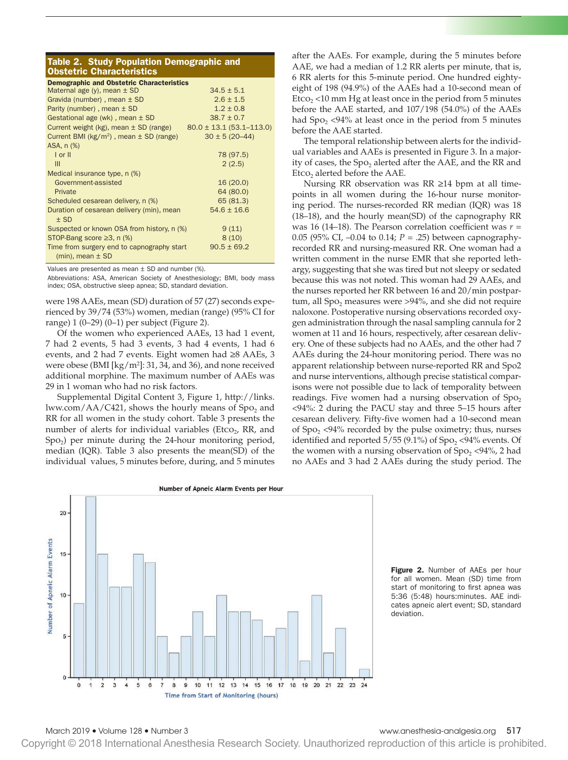## Table 2. Study Population Demographic and Obstetric Characteristics

| <b>Demographic and Obstetric Characteristics</b>                      |                              |  |  |  |  |  |
|-----------------------------------------------------------------------|------------------------------|--|--|--|--|--|
| Maternal age $(y)$ , mean $\pm$ SD                                    | $34.5 \pm 5.1$               |  |  |  |  |  |
| Gravida (number), mean $\pm$ SD                                       | $2.6 \pm 1.5$                |  |  |  |  |  |
| Parity (number), mean $\pm$ SD                                        | $1.2 \pm 0.8$                |  |  |  |  |  |
| Gestational age (wk), mean $\pm$ SD                                   | $38.7 \pm 0.7$               |  |  |  |  |  |
| Current weight $(kg)$ , mean $\pm$ SD (range)                         | $80.0 \pm 13.1$ (53.1–113.0) |  |  |  |  |  |
| Current BMI ( $kg/m2$ ), mean $\pm$ SD (range)                        | $30 \pm 5 (20 - 44)$         |  |  |  |  |  |
| ASA, n (%)                                                            |                              |  |  |  |  |  |
| $I$ or $II$                                                           | 78 (97.5)                    |  |  |  |  |  |
| III                                                                   | 2(2.5)                       |  |  |  |  |  |
| Medical insurance type, n (%)                                         |                              |  |  |  |  |  |
| Government-assisted                                                   | 16(20.0)                     |  |  |  |  |  |
| Private                                                               | 64 (80.0)                    |  |  |  |  |  |
| Scheduled cesarean delivery, n (%)                                    | 65 (81.3)                    |  |  |  |  |  |
| Duration of cesarean delivery (min), mean                             | $54.6 \pm 16.6$              |  |  |  |  |  |
| $±$ SD                                                                |                              |  |  |  |  |  |
| Suspected or known OSA from history, n (%)                            | 9(11)                        |  |  |  |  |  |
| STOP-Bang score $\geq$ 3, n (%)                                       | 8(10)                        |  |  |  |  |  |
| Time from surgery end to capnography start<br>$(min)$ , mean $\pm$ SD | $90.5 \pm 69.2$              |  |  |  |  |  |

Values are presented as mean ± SD and number (%).

Abbreviations: ASA, American Society of Anesthesiology; BMI, body mass index; OSA, obstructive sleep apnea; SD, standard deviation.

were 198 AAEs, mean (SD) duration of 57 (27) seconds experienced by 39/74 (53%) women, median (range) (95% CI for range) 1 (0–29) (0–1) per subject (Figure 2).

Of the women who experienced AAEs, 13 had 1 event, 7 had 2 events, 5 had 3 events, 3 had 4 events, 1 had 6 events, and 2 had 7 events. Eight women had ≥8 AAEs, 3 were obese (BMI [kg/m2 ]: 31, 34, and 36), and none received additional morphine. The maximum number of AAEs was 29 in 1 woman who had no risk factors.

Supplemental Digital Content 3, Figure 1, [http://links.](http://links.lww.com/AA/C421) lww.com/ $AA/C421$ , shows the hourly means of Spo<sub>2</sub> and RR for all women in the study cohort. Table 3 presents the number of alerts for individual variables (Etco<sub>2</sub>, RR, and  $Spo<sub>2</sub>$ ) per minute during the 24-hour monitoring period, median (IQR). Table 3 also presents the mean(SD) of the individual values, 5 minutes before, during, and 5 minutes after the AAEs. For example, during the 5 minutes before AAE, we had a median of 1.2 RR alerts per minute, that is, 6 RR alerts for this 5-minute period. One hundred eightyeight of 198 (94.9%) of the AAEs had a 10-second mean of Etco<sub>2</sub> <10 mm Hg at least once in the period from 5 minutes before the AAE started, and 107/198 (54.0%) of the AAEs had  $Spo<sub>2</sub> < 94%$  at least once in the period from 5 minutes before the AAE started.

The temporal relationship between alerts for the individual variables and AAEs is presented in Figure 3. In a majority of cases, the  $Spo<sub>2</sub>$  alerted after the AAE, and the RR and  $E<sub>2</sub>$  alerted before the AAE.

Nursing RR observation was RR ≥14 bpm at all timepoints in all women during the 16-hour nurse monitoring period. The nurses-recorded RR median (IQR) was 18 (18–18), and the hourly mean(SD) of the capnography RR was 16 (14–18). The Pearson correlation coefficient was *r* = 0.05 (95% CI, –0.04 to 0.14; *P* = .25) between capnographyrecorded RR and nursing-measured RR. One woman had a written comment in the nurse EMR that she reported lethargy, suggesting that she was tired but not sleepy or sedated because this was not noted. This woman had 29 AAEs, and the nurses reported her RR between 16 and 20/min postpartum, all  $Spo<sub>2</sub>$  measures were >94%, and she did not require naloxone. Postoperative nursing observations recorded oxygen administration through the nasal sampling cannula for 2 women at 11 and 16 hours, respectively, after cesarean delivery. One of these subjects had no AAEs, and the other had 7 AAEs during the 24-hour monitoring period. There was no apparent relationship between nurse-reported RR and Spo2 and nurse interventions, although precise statistical comparisons were not possible due to lack of temporality between readings. Five women had a nursing observation of  $Spo<sub>2</sub>$ <94%: 2 during the PACU stay and three 5–15 hours after cesarean delivery. Fifty-five women had a 10-second mean of  $Spo<sub>2</sub> < 94%$  recorded by the pulse oximetry; thus, nurses identified and reported  $5/55$  (9.1%) of Spo<sub>2</sub> <94% events. Of the women with a nursing observation of  $Spo<sub>2</sub> < 94$ %, 2 had no AAEs and 3 had 2 AAEs during the study period. The



Figure 2. Number of AAEs per hour for all women. Mean (SD) time from start of monitoring to first apnea was 5:36 (5:48) hours:minutes. AAE indicates apneic alert event; SD, standard deviation.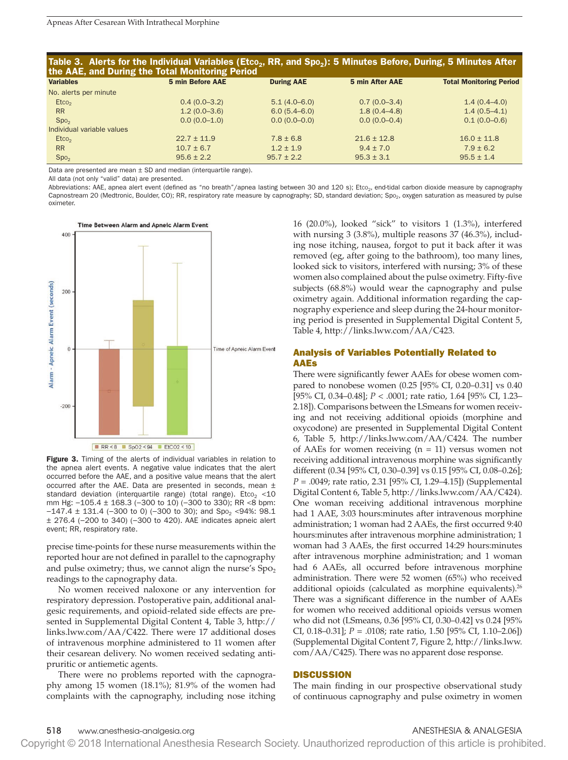| Table 3. Alerts for the Individual Variables (Etco <sub>2</sub> , RR, and Spo <sub>2</sub> ): 5 Minutes Before, During, 5 Minutes After |  |  |
|-----------------------------------------------------------------------------------------------------------------------------------------|--|--|
| the AAE, and During the Total Monitoring Period                                                                                         |  |  |

| -                          |                         |                   |                  |                                |
|----------------------------|-------------------------|-------------------|------------------|--------------------------------|
| <b>Variables</b>           | <b>5 min Before AAE</b> | <b>During AAE</b> | 5 min After AAE  | <b>Total Monitoring Period</b> |
| No. alerts per minute      |                         |                   |                  |                                |
| $E_{\text{LCO}_2}$         | $0.4(0.0-3.2)$          | $5.1(4.0 - 6.0)$  | $0.7(0.0-3.4)$   | $1.4(0.4 - 4.0)$               |
| <b>RR</b>                  | $1.2(0.0-3.6)$          | $6.0(5.4 - 6.0)$  | $1.8(0.4 - 4.8)$ | $1.4(0.5-4.1)$                 |
| Spo <sub>2</sub>           | $0.0(0.0-1.0)$          | $0.0(0.0-0.0)$    | $0.0(0.0-0.4)$   | $0.1(0.0-0.6)$                 |
| Individual variable values |                         |                   |                  |                                |
| $E_{\text{LCO}_2}$         | $22.7 \pm 11.9$         | $7.8 \pm 6.8$     | $21.6 \pm 12.8$  | $16.0 \pm 11.8$                |
| <b>RR</b>                  | $10.7 \pm 6.7$          | $1.2 \pm 1.9$     | $9.4 \pm 7.0$    | $7.9 \pm 6.2$                  |
| Spo <sub>2</sub>           | $95.6 \pm 2.2$          | $95.7 \pm 2.2$    | $95.3 \pm 3.1$   | $95.5 \pm 1.4$                 |
|                            |                         |                   |                  |                                |

Data are presented are mean  $\pm$  SD and median (interquartile range).

All data (not only "valid" data) are presented.

Abbreviations: AAE, apnea alert event (defined as "no breath"/apnea lasting between 30 and 120 s); Etco<sub>2</sub>, end-tidal carbon dioxide measure by capnography Capnostream 20 (Medtronic, Boulder, CO); RR, respiratory rate measure by capnography; SD, standard deviation; Spo<sub>2</sub>, oxygen saturation as measured by pulse oximeter.



Figure 3. Timing of the alerts of individual variables in relation to the apnea alert events. A negative value indicates that the alert occurred before the AAE, and a positive value means that the alert occurred after the AAE. Data are presented in seconds, mean  $\pm$ standard deviation (interquartile range) (total range). Etco<sub>2</sub> <10 mm Hg:  $-105.4 \pm 168.3$  (-300 to 10) (-300 to 330); RR <8 bpm:  $-147.4 \pm 131.4$  (-300 to 0) (-300 to 30); and Spo<sub>2</sub> <94%: 98.1 ± 276.4 (−200 to 340) (−300 to 420). AAE indicates apneic alert event; RR, respiratory rate.

precise time-points for these nurse measurements within the reported hour are not defined in parallel to the capnography and pulse oximetry; thus, we cannot align the nurse's  $Spo<sub>2</sub>$ readings to the capnography data.

No women received naloxone or any intervention for respiratory depression. Postoperative pain, additional analgesic requirements, and opioid-related side effects are presented in Supplemental Digital Content 4, Table 3, [http://](http://links.lww.com/AA/C422) [links.lww.com/AA/C422](http://links.lww.com/AA/C422). There were 17 additional doses of intravenous morphine administered to 11 women after their cesarean delivery. No women received sedating antipruritic or antiemetic agents.

There were no problems reported with the capnography among 15 women (18.1%); 81.9% of the women had complaints with the capnography, including nose itching 16 (20.0%), looked "sick" to visitors 1 (1.3%), interfered with nursing 3 (3.8%), multiple reasons 37 (46.3%), including nose itching, nausea, forgot to put it back after it was removed (eg, after going to the bathroom), too many lines, looked sick to visitors, interfered with nursing; 3% of these women also complained about the pulse oximetry. Fifty-five subjects (68.8%) would wear the capnography and pulse oximetry again. Additional information regarding the capnography experience and sleep during the 24-hour monitoring period is presented in Supplemental Digital Content 5, Table 4,<http://links.lww.com/AA/C423>.

## Analysis of Variables Potentially Related to AAEs

There were significantly fewer AAEs for obese women compared to nonobese women (0.25 [95% CI, 0.20–0.31] vs 0.40 [95% CI, 0.34–0.48]; *P* < .0001; rate ratio, 1.64 [95% CI, 1.23– 2.18]). Comparisons between the LSmeans for women receiving and not receiving additional opioids (morphine and oxycodone) are presented in Supplemental Digital Content 6, Table 5, <http://links.lww.com/AA/C424>. The number of AAEs for women receiving  $(n = 11)$  versus women not receiving additional intravenous morphine was significantly different (0.34 [95% CI, 0.30–0.39] vs 0.15 [95% CI, 0.08–0.26]; *P* = .0049; rate ratio, 2.31 [95% CI, 1.29–4.15]) (Supplemental Digital Content 6, Table 5, [http://links.lww.com/AA/C424\)](http://links.lww.com/AA/C424). One woman receiving additional intravenous morphine had 1 AAE, 3:03 hours:minutes after intravenous morphine administration; 1 woman had 2 AAEs, the first occurred 9:40 hours:minutes after intravenous morphine administration; 1 woman had 3 AAEs, the first occurred 14:29 hours:minutes after intravenous morphine administration; and 1 woman had 6 AAEs, all occurred before intravenous morphine administration. There were 52 women (65%) who received additional opioids (calculated as morphine equivalents).<sup>26</sup> There was a significant difference in the number of AAEs for women who received additional opioids versus women who did not (LSmeans, 0.36 [95% CI, 0.30–0.42] vs 0.24 [95% CI, 0.18–0.31]; *P* = .0108; rate ratio, 1.50 [95% CI, 1.10–2.06]) (Supplemental Digital Content 7, Figure 2, [http://links.lww.](http://links.lww.com/AA/C425) [com/AA/C425\)](http://links.lww.com/AA/C425). There was no apparent dose response.

## **DISCUSSION**

The main finding in our prospective observational study of continuous capnography and pulse oximetry in women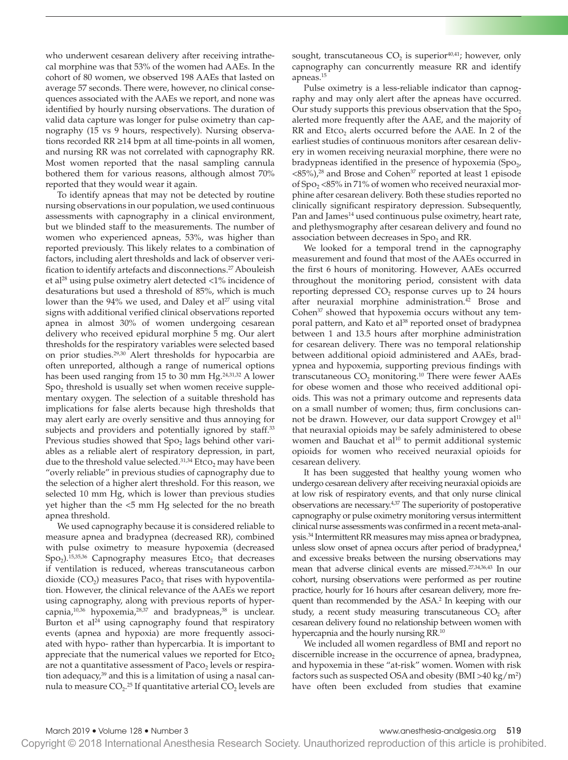who underwent cesarean delivery after receiving intrathecal morphine was that 53% of the women had AAEs. In the cohort of 80 women, we observed 198 AAEs that lasted on average 57 seconds. There were, however, no clinical consequences associated with the AAEs we report, and none was identified by hourly nursing observations. The duration of valid data capture was longer for pulse oximetry than capnography (15 vs 9 hours, respectively). Nursing observations recorded RR ≥14 bpm at all time-points in all women, and nursing RR was not correlated with capnography RR. Most women reported that the nasal sampling cannula bothered them for various reasons, although almost 70% reported that they would wear it again.

To identify apneas that may not be detected by routine nursing observations in our population, we used continuous assessments with capnography in a clinical environment, but we blinded staff to the measurements. The number of women who experienced apneas, 53%, was higher than reported previously. This likely relates to a combination of factors, including alert thresholds and lack of observer verification to identify artefacts and disconnections.<sup>27</sup> Abouleish et al<sup>28</sup> using pulse oximetry alert detected  $\langle 1\%$  incidence of desaturations but used a threshold of 85%, which is much lower than the  $94\%$  we used, and Daley et al<sup>27</sup> using vital signs with additional verified clinical observations reported apnea in almost 30% of women undergoing cesarean delivery who received epidural morphine 5 mg. Our alert thresholds for the respiratory variables were selected based on prior studies.29,30 Alert thresholds for hypocarbia are often unreported, although a range of numerical options has been used ranging from 15 to 30 mm Hg.<sup>24,31,32</sup> A lower  $Spo<sub>2</sub>$  threshold is usually set when women receive supplementary oxygen. The selection of a suitable threshold has implications for false alerts because high thresholds that may alert early are overly sensitive and thus annoying for subjects and providers and potentially ignored by staff.<sup>33</sup> Previous studies showed that Spo<sub>2</sub> lags behind other variables as a reliable alert of respiratory depression, in part, due to the threshold value selected.<sup>31,34</sup> Etco<sub>2</sub> may have been "overly reliable" in previous studies of capnography due to the selection of a higher alert threshold. For this reason, we selected 10 mm Hg, which is lower than previous studies yet higher than the <5 mm Hg selected for the no breath apnea threshold.

We used capnography because it is considered reliable to measure apnea and bradypnea (decreased RR), combined with pulse oximetry to measure hypoxemia (decreased  $Spo<sub>2</sub>$ ).<sup>15,35,36</sup> Capnography measures Etco<sub>2</sub> that decreases if ventilation is reduced, whereas transcutaneous carbon dioxide  $(CO_2)$  measures Paco<sub>2</sub> that rises with hypoventilation. However, the clinical relevance of the AAEs we report using capnography, along with previous reports of hypercapnia,<sup>10,36</sup> hypoxemia,<sup>28,37</sup> and bradypneas,<sup>38</sup> is unclear. Burton et al $^{24}$  using capnography found that respiratory events (apnea and hypoxia) are more frequently associated with hypo- rather than hypercarbia. It is important to appreciate that the numerical values we reported for  $E_{1}$ are not a quantitative assessment of  $Paco<sub>2</sub>$  levels or respiration adequacy, $39$  and this is a limitation of using a nasal cannula to measure CO<sub>2</sub>.<sup>25</sup> If quantitative arterial CO<sub>2</sub> levels are sought, transcutaneous  $CO<sub>2</sub>$  is superior<sup>40,41</sup>; however, only capnography can concurrently measure RR and identify apneas.15

Pulse oximetry is a less-reliable indicator than capnography and may only alert after the apneas have occurred. Our study supports this previous observation that the  $Spo<sub>2</sub>$ alerted more frequently after the AAE, and the majority of RR and  $Etco<sub>2</sub>$  alerts occurred before the AAE. In 2 of the earliest studies of continuous monitors after cesarean delivery in women receiving neuraxial morphine, there were no bradypneas identified in the presence of hypoxemia  $(Spo<sub>2</sub>)$ , <85%),28 and Brose and Cohen37 reported at least 1 episode of  $Spo<sub>2</sub> < 85%$  in 71% of women who received neuraxial morphine after cesarean delivery. Both these studies reported no clinically significant respiratory depression. Subsequently, Pan and James<sup>14</sup> used continuous pulse oximetry, heart rate, and plethysmography after cesarean delivery and found no association between decreases in Spo<sub>2</sub> and RR.

We looked for a temporal trend in the capnography measurement and found that most of the AAEs occurred in the first 6 hours of monitoring. However, AAEs occurred throughout the monitoring period, consistent with data reporting depressed  $CO<sub>2</sub>$  response curves up to 24 hours after neuraxial morphine administration.<sup>42</sup> Brose and Cohen<sup>37</sup> showed that hypoxemia occurs without any temporal pattern, and Kato et al<sup>38</sup> reported onset of bradypnea between 1 and 13.5 hours after morphine administration for cesarean delivery. There was no temporal relationship between additional opioid administered and AAEs, bradypnea and hypoxemia, supporting previous findings with transcutaneous  $CO<sub>2</sub>$  monitoring.<sup>10</sup> There were fewer AAEs for obese women and those who received additional opioids. This was not a primary outcome and represents data on a small number of women; thus, firm conclusions cannot be drawn. However, our data support Crowgey et al<sup>11</sup> that neuraxial opioids may be safely administered to obese women and Bauchat et al<sup>10</sup> to permit additional systemic opioids for women who received neuraxial opioids for cesarean delivery.

It has been suggested that healthy young women who undergo cesarean delivery after receiving neuraxial opioids are at low risk of respiratory events, and that only nurse clinical observations are necessary.4,37 The superiority of postoperative capnography or pulse oximetry monitoring versus intermittent clinical nurse assessments was confirmed in a recent meta-analysis.34 Intermittent RR measures may miss apnea or bradypnea, unless slow onset of apnea occurs after period of bradypnea,<sup>4</sup> and excessive breaks between the nursing observations may mean that adverse clinical events are missed.27,34,36,43 In our cohort, nursing observations were performed as per routine practice, hourly for 16 hours after cesarean delivery, more frequent than recommended by the ASA.<sup>2</sup> In keeping with our study, a recent study measuring transcutaneous  $CO<sub>2</sub>$  after cesarean delivery found no relationship between women with hypercapnia and the hourly nursing RR.<sup>10</sup>

We included all women regardless of BMI and report no discernible increase in the occurrence of apnea, bradypnea, and hypoxemia in these "at-risk" women. Women with risk factors such as suspected OSA and obesity  $(BMI > 40 \text{ kg/m}^2)$ have often been excluded from studies that examine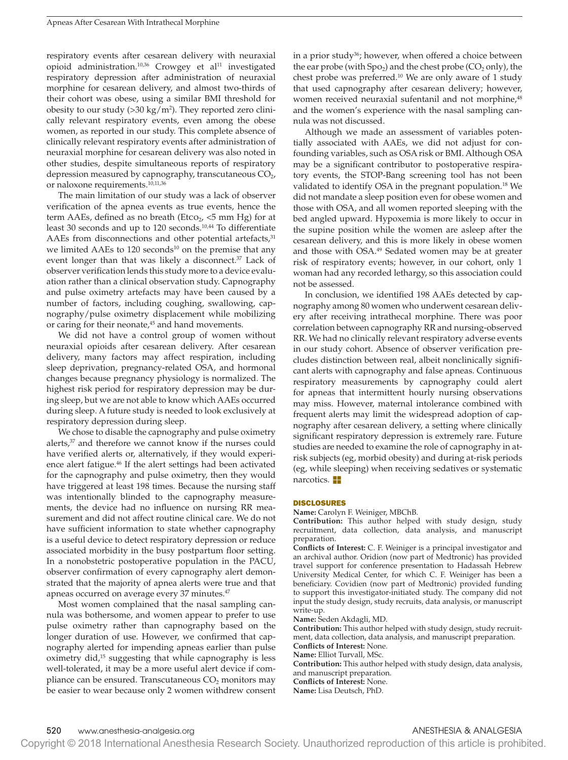respiratory events after cesarean delivery with neuraxial opioid administration.<sup>10,36</sup> Crowgey et al<sup>11</sup> investigated respiratory depression after administration of neuraxial morphine for cesarean delivery, and almost two-thirds of their cohort was obese, using a similar BMI threshold for obesity to our study  $(>30 \text{ kg/m}^2)$ . They reported zero clinically relevant respiratory events, even among the obese women, as reported in our study. This complete absence of clinically relevant respiratory events after administration of neuraxial morphine for cesarean delivery was also noted in other studies, despite simultaneous reports of respiratory depression measured by capnography, transcutaneous  $CO<sub>2</sub>$ , or naloxone requirements.<sup>10,11,36</sup>

The main limitation of our study was a lack of observer verification of the apnea events as true events, hence the term AAEs, defined as no breath (Etco<sub>2</sub>,  $\lt$ 5 mm Hg) for at least 30 seconds and up to 120 seconds.10,44 To differentiate AAEs from disconnections and other potential artefacts,<sup>31</sup> we limited AAEs to 120 seconds<sup>10</sup> on the premise that any event longer than that was likely a disconnect.<sup>37</sup> Lack of observer verification lends this study more to a device evaluation rather than a clinical observation study. Capnography and pulse oximetry artefacts may have been caused by a number of factors, including coughing, swallowing, capnography/pulse oximetry displacement while mobilizing or caring for their neonate,<sup>45</sup> and hand movements.

We did not have a control group of women without neuraxial opioids after cesarean delivery. After cesarean delivery, many factors may affect respiration, including sleep deprivation, pregnancy-related OSA, and hormonal changes because pregnancy physiology is normalized. The highest risk period for respiratory depression may be during sleep, but we are not able to know which AAEs occurred during sleep. A future study is needed to look exclusively at respiratory depression during sleep.

We chose to disable the capnography and pulse oximetry alerts, $37$  and therefore we cannot know if the nurses could have verified alerts or, alternatively, if they would experience alert fatigue.46 If the alert settings had been activated for the capnography and pulse oximetry, then they would have triggered at least 198 times. Because the nursing staff was intentionally blinded to the capnography measurements, the device had no influence on nursing RR measurement and did not affect routine clinical care. We do not have sufficient information to state whether capnography is a useful device to detect respiratory depression or reduce associated morbidity in the busy postpartum floor setting. In a nonobstetric postoperative population in the PACU, observer confirmation of every capnography alert demonstrated that the majority of apnea alerts were true and that apneas occurred on average every 37 minutes.<sup>47</sup>

Most women complained that the nasal sampling cannula was bothersome, and women appear to prefer to use pulse oximetry rather than capnography based on the longer duration of use. However, we confirmed that capnography alerted for impending apneas earlier than pulse oximetry did,15 suggesting that while capnography is less well-tolerated, it may be a more useful alert device if compliance can be ensured. Transcutaneous  $CO<sub>2</sub>$  monitors may be easier to wear because only 2 women withdrew consent in a prior study<sup>36</sup>; however, when offered a choice between the ear probe (with  $Spo<sub>2</sub>$ ) and the chest probe (CO<sub>2</sub> only), the chest probe was preferred.<sup>10</sup> We are only aware of 1 study that used capnography after cesarean delivery; however, women received neuraxial sufentanil and not morphine,<sup>48</sup> and the women's experience with the nasal sampling cannula was not discussed.

Although we made an assessment of variables potentially associated with AAEs, we did not adjust for confounding variables, such as OSA risk or BMI. Although OSA may be a significant contributor to postoperative respiratory events, the STOP-Bang screening tool has not been validated to identify OSA in the pregnant population.<sup>18</sup> We did not mandate a sleep position even for obese women and those with OSA, and all women reported sleeping with the bed angled upward. Hypoxemia is more likely to occur in the supine position while the women are asleep after the cesarean delivery, and this is more likely in obese women and those with OSA.<sup>49</sup> Sedated women may be at greater risk of respiratory events; however, in our cohort, only 1 woman had any recorded lethargy, so this association could not be assessed.

In conclusion, we identified 198 AAEs detected by capnography among 80 women who underwent cesarean delivery after receiving intrathecal morphine. There was poor correlation between capnography RR and nursing-observed RR. We had no clinically relevant respiratory adverse events in our study cohort. Absence of observer verification precludes distinction between real, albeit nonclinically significant alerts with capnography and false apneas. Continuous respiratory measurements by capnography could alert for apneas that intermittent hourly nursing observations may miss. However, maternal intolerance combined with frequent alerts may limit the widespread adoption of capnography after cesarean delivery, a setting where clinically significant respiratory depression is extremely rare. Future studies are needed to examine the role of capnography in atrisk subjects (eg, morbid obesity) and during at-risk periods (eg, while sleeping) when receiving sedatives or systematic narcotics. E

## DISCLOSURES

**Name:** Carolyn F. Weiniger, MBChB.

**Contribution:** This author helped with study design, study recruitment, data collection, data analysis, and manuscript preparation.

**Conflicts of Interest:** C. F. Weiniger is a principal investigator and an archival author. Oridion (now part of Medtronic) has provided travel support for conference presentation to Hadassah Hebrew University Medical Center, for which C. F. Weiniger has been a beneficiary. Covidien (now part of Medtronic) provided funding to support this investigator-initiated study. The company did not input the study design, study recruits, data analysis, or manuscript write-up.

**Name:** Seden Akdagli, MD.

**Contribution:** This author helped with study design, study recruitment, data collection, data analysis, and manuscript preparation. **Conflicts of Interest:** None.

**Name:** Elliot Turvall, MSc.

**Contribution:** This author helped with study design, data analysis, and manuscript preparation.

**Conflicts of Interest:** None.

**Name:** Lisa Deutsch, PhD.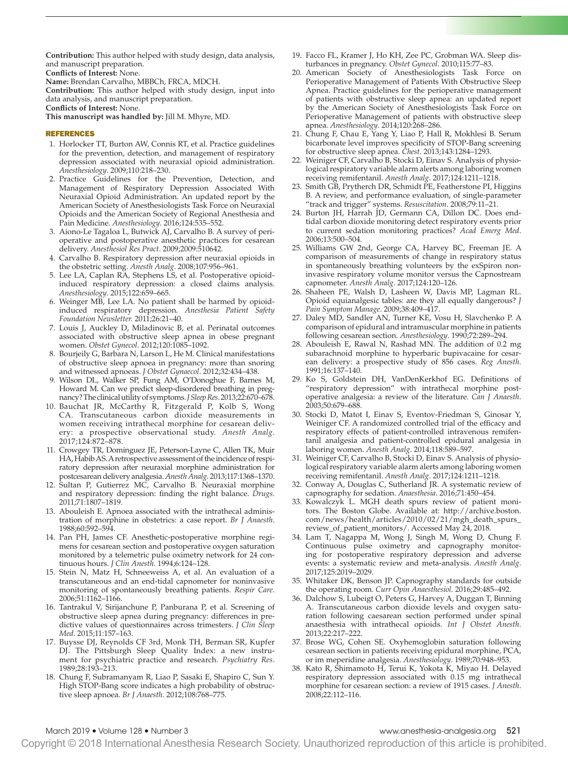**Contribution:** This author helped with study design, data analysis, and manuscript preparation.

**Conflicts of Interest:** None.

**Name:** Brendan Carvalho, MBBCh, FRCA, MDCH.

**Contribution:** This author helped with study design, input into data analysis, and manuscript preparation.

**Conflicts of Interest:** None.

**This manuscript was handled by:** Jill M. Mhyre, MD.

## REFERENCES

- 1. Horlocker TT, Burton AW, Connis RT, et al. Practice guidelines for the prevention, detection, and management of respiratory depression associated with neuraxial opioid administration. *Anesthesiology*. 2009;110:218–230.
- 2. Practice Guidelines for the Prevention, Detection, and Management of Respiratory Depression Associated With Neuraxial Opioid Administration. An updated report by the American Society of Anesthesiologists Task Force on Neuraxial Opioids and the American Society of Regional Anesthesia and Pain Medicine. *Anesthesiology*. 2016;124:535–552.
- 3. Aiono-Le Tagaloa L, Butwick AJ, Carvalho B. A survey of perioperative and postoperative anesthetic practices for cesarean delivery. *Anesthesiol Res Pract*. 2009;2009:510642.
- 4. Carvalho B. Respiratory depression after neuraxial opioids in the obstetric setting. *Anesth Analg*. 2008;107:956–961.
- 5. Lee LA, Caplan RA, Stephens LS, et al. Postoperative opioidinduced respiratory depression: a closed claims analysis. *Anesthesiology*. 2015;122:659–665.
- 6. Weinger MB, Lee LA. No patient shall be harmed by opioidinduced respiratory depression. *Anesthesia Patient Safety Foundation Newsletter.* 2011;26:21–40.
- 7. Louis J, Auckley D, Miladinovic B, et al. Perinatal outcomes associated with obstructive sleep apnea in obese pregnant women. *Obstet Gynecol*. 2012;120:1085–1092.
- 8. Bourjeily G, Barbara N, Larson L, He M. Clinical manifestations of obstructive sleep apnoea in pregnancy: more than snoring and witnessed apnoeas. *J Obstet Gynaecol*. 2012;32:434–438.
- 9. Wilson DL, Walker SP, Fung AM, O'Donoghue F, Barnes M, Howard M. Can we predict sleep-disordered breathing in pregnancy? The clinical utility of symptoms. *J Sleep Res*. 2013;22:670–678.
- 10. Bauchat JR, McCarthy R, Fitzgerald P, Kolb S, Wong CA. Transcutaneous carbon dioxide measurements in women receiving intrathecal morphine for cesarean delivery: a prospective observational study. *Anesth Analg*. 2017;124:872–878.
- 11. Crowgey TR, Dominguez JE, Peterson-Layne C, Allen TK, Muir HA, Habib AS. A retrospective assessment of the incidence of respiratory depression after neuraxial morphine administration for postcesarean delivery analgesia. *Anesth Analg*. 2013;117:1368–1370.
- 12. Sultan P, Gutierrez MC, Carvalho B. Neuraxial morphine and respiratory depression: finding the right balance. *Drugs*. 2011;71:1807–1819.
- 13. Abouleish E. Apnoea associated with the intrathecal administration of morphine in obstetrics: a case report. *Br J Anaesth*. 1988;60:592–594.
- 14. Pan PH, James CF. Anesthetic-postoperative morphine regimens for cesarean section and postoperative oxygen saturation monitored by a telemetric pulse oximetry network for 24 continuous hours. *J Clin Anesth*. 1994;6:124–128.
- 15. Stein N, Matz H, Schneeweiss A, et al. An evaluation of a transcutaneous and an end-tidal capnometer for noninvasive monitoring of spontaneously breathing patients. *Respir Care*. 2006;51:1162–1166.
- 16. Tantrakul V, Sirijanchune P, Panburana P, et al. Screening of obstructive sleep apnea during pregnancy: differences in predictive values of questionnaires across trimesters. *J Clin Sleep Med*. 2015;11:157–163.
- 17. Buysse DJ, Reynolds CF 3rd, Monk TH, Berman SR, Kupfer DJ. The Pittsburgh Sleep Quality Index: a new instrument for psychiatric practice and research. *Psychiatry Res*. 1989;28:193–213.
- 18. Chung F, Subramanyam R, Liao P, Sasaki E, Shapiro C, Sun Y. High STOP-Bang score indicates a high probability of obstructive sleep apnoea. *Br J Anaesth*. 2012;108:768–775.
- 19. Facco FL, Kramer J, Ho KH, Zee PC, Grobman WA. Sleep disturbances in pregnancy. *Obstet Gynecol*. 2010;115:77–83.
- 20. American Society of Anesthesiologists Task Force on Perioperative Management of Patients With Obstructive Sleep Apnea. Practice guidelines for the perioperative management of patients with obstructive sleep apnea: an updated report by the American Society of Anesthesiologists Task Force on Perioperative Management of patients with obstructive sleep apnea. *Anesthesiology*. 2014;120:268–286.
- 21. Chung F, Chau E, Yang Y, Liao P, Hall R, Mokhlesi B. Serum bicarbonate level improves specificity of STOP-Bang screening for obstructive sleep apnea. *Chest*. 2013;143:1284–1293.
- 22. Weiniger CF, Carvalho B, Stocki D, Einav S. Analysis of physiological respiratory variable alarm alerts among laboring women receiving remifentanil. *Anesth Analg*. 2017;124:1211–1218.
- 23. Smith GB, Prytherch DR, Schmidt PE, Featherstone PI, Higgins B. A review, and performance evaluation, of single-parameter "track and trigger" systems. *Resuscitation*. 2008;79:11–21.
- 24. Burton JH, Harrah JD, Germann CA, Dillon DC. Does endtidal carbon dioxide monitoring detect respiratory events prior to current sedation monitoring practices? *Acad Emerg Med*. 2006;13:500–504.
- 25. Williams GW 2nd, George CA, Harvey BC, Freeman JE. A comparison of measurements of change in respiratory status in spontaneously breathing volunteers by the exSpiron noninvasive respiratory volume monitor versus the Capnostream capnometer. *Anesth Analg*. 2017;124:120–126.
- 26. Shaheen PE, Walsh D, Lasheen W, Davis MP, Lagman RL. Opioid equianalgesic tables: are they all equally dangerous? *J Pain Symptom Manage*. 2009;38:409–417.
- 27. Daley MD, Sandler AN, Turner KE, Vosu H, Slavchenko P. A comparison of epidural and intramuscular morphine in patients following cesarean section. *Anesthesiology*. 1990;72:289–294.
- 28. Abouleish E, Rawal N, Rashad MN. The addition of 0.2 mg subarachnoid morphine to hyperbaric bupivacaine for cesarean delivery: a prospective study of 856 cases. *Reg Anesth*. 1991;16:137–140.
- 29. Ko S, Goldstein DH, VanDenKerkhof EG. Definitions of "respiratory depression" with intrathecal morphine postoperative analgesia: a review of the literature. *Can J Anaesth*. 2003;50:679–688.
- 30. Stocki D, Matot I, Einav S, Eventov-Friedman S, Ginosar Y, Weiniger CF. A randomized controlled trial of the efficacy and respiratory effects of patient-controlled intravenous remifentanil analgesia and patient-controlled epidural analgesia in laboring women. *Anesth Analg*. 2014;118:589–597.
- 31. Weiniger CF, Carvalho B, Stocki D, Einav S. Analysis of physiological respiratory variable alarm alerts among laboring women receiving remifentanil. *Anesth Analg*. 2017;124:1211–1218.
- 32. Conway A, Douglas C, Sutherland JR. A systematic review of capnography for sedation. *Anaesthesia*. 2016;71:450–454.
- 33. Kowalczyk L. MGH death spurs review of patient monitors. The Boston Globe. Available at: [http://archive.boston.](http://archive.boston.com/news/health/articles/2010/02/21/mgh_death_spurs_review_of_patient_monitors/) [com/news/health/articles/2010/02/21/mgh\\_death\\_spurs\\_](http://archive.boston.com/news/health/articles/2010/02/21/mgh_death_spurs_review_of_patient_monitors/) [review\\_of\\_patient\\_monitors/.](http://archive.boston.com/news/health/articles/2010/02/21/mgh_death_spurs_review_of_patient_monitors/) Accessed May 24, 2018.
- 34. Lam T, Nagappa M, Wong J, Singh M, Wong D, Chung F. Continuous pulse oximetry and capnography monitoring for postoperative respiratory depression and adverse events: a systematic review and meta-analysis. *Anesth Analg*. 2017;125:2019–2029.
- 35. Whitaker DK, Benson JP. Capnography standards for outside the operating room. *Curr Opin Anaesthesiol*. 2016;29:485–492.
- 36. Dalchow S, Lubeigt O, Peters G, Harvey A, Duggan T, Binning A. Transcutaneous carbon dioxide levels and oxygen saturation following caesarean section performed under spinal anaesthesia with intrathecal opioids. *Int J Obstet Anesth*. 2013;22:217–222.
- 37. Brose WG, Cohen SE. Oxyhemoglobin saturation following cesarean section in patients receiving epidural morphine, PCA, or im meperidine analgesia. *Anesthesiology*. 1989;70:948–953.
- 38. Kato R, Shimamoto H, Terui K, Yokota K, Miyao H. Delayed respiratory depression associated with 0.15 mg intrathecal morphine for cesarean section: a review of 1915 cases. *J Anesth*. 2008;22:112–116.

## March 2019 • Volume 128 • Number 3 www.anesthesia-analgesia.org 521